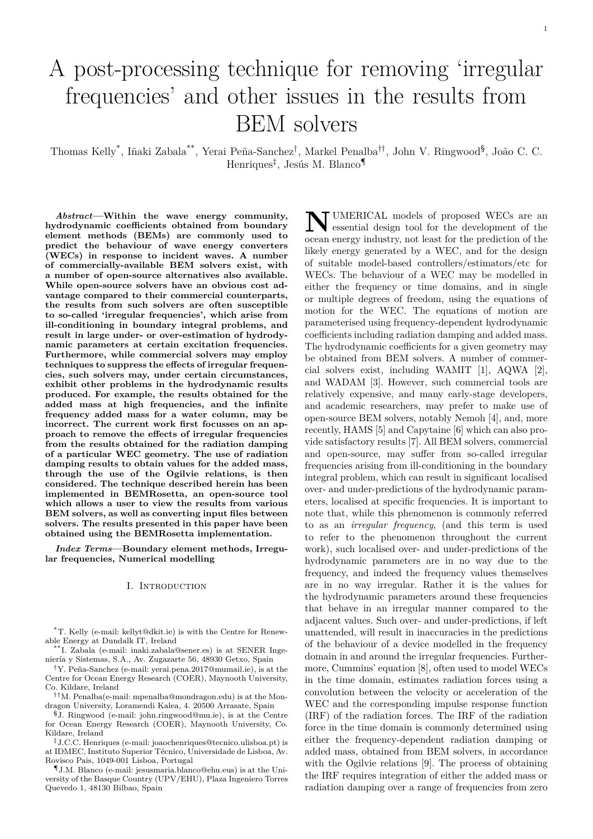# A post-processing technique for removing 'irregular frequencies' and other issues in the results from BEM solvers

Thomas Kelly<sup>\*</sup>, Iñaki Zabala<sup>\*\*</sup>, Yerai Peña-Sanchez<sup>†</sup>, Markel Penalba<sup>††</sup>, John V. Ringwood<sup>§</sup>, João C. C. Henriques<sup>‡</sup>, Jesús M. Blanco¶

*Abstract***—Within the wave energy community, hydrodynamic coefficients obtained from boundary element methods (BEMs) are commonly used to predict the behaviour of wave energy converters (WECs) in response to incident waves. A number of commercially-available BEM solvers exist, with a number of open-source alternatives also available. While open-source solvers have an obvious cost advantage compared to their commercial counterparts, the results from such solvers are often susceptible to so-called 'irregular frequencies', which arise from ill-conditioning in boundary integral problems, and result in large under- or over-estimation of hydrodynamic parameters at certain excitation frequencies. Furthermore, while commercial solvers may employ techniques to suppress the effects of irregular frequencies, such solvers may, under certain circumstances, exhibit other problems in the hydrodynamic results produced. For example, the results obtained for the added mass at high frequencies, and the infinite frequency added mass for a water column, may be incorrect. The current work first focusses on an approach to remove the effects of irregular frequencies from the results obtained for the radiation damping of a particular WEC geometry. The use of radiation damping results to obtain values for the added mass, through the use of the Ogilvie relations, is then considered. The technique described herein has been implemented in BEMRosetta, an open-source tool which allows a user to view the results from various BEM solvers, as well as converting input files between solvers. The results presented in this paper have been obtained using the BEMRosetta implementation.**

*Index Terms***—Boundary element methods, Irregular frequencies, Numerical modelling**

#### I. Introduction

\*T. Kelly (e-mail: kellyt@dkit.ie) is with the Centre for Renewable Energy at Dundalk IT, Ireland

\*\*I. Zabala (e-mail: inaki.zabala@sener.es) is at SENER Ingeniería y Sistemas, S.A., Av. Zugazarte 56, 48930 Getxo, Spain

†Y. Pe˜na-Sanchez (e-mail: yerai.pena.2017@mumail.ie), is at the Centre for Ocean Energy Research (COER), Maynooth University, Co. Kildare, Ireland

††M. Penalba(e-mail: mpenalba@mondragon.edu) is at the Mondragon University, Loramendi Kalea, 4. 20500 Arrasate, Spain

§J. Ringwood (e-mail: john.ringwood@mu.ie), is at the Centre for Ocean Energy Research (COER), Maynooth University, Co. Kildare, Ireland

‡J.C.C. Henriques (e-mail: joaochenriques@tecnico.ulisboa.pt) is at IDMEC, Instituto Superior Técnico, Universidade de Lisboa, Av. Rovisco Pais, 1049-001 Lisboa, Portugal

¶J.M. Blanco (e-mail: jesusmaria.blanco@ehu.eus) is at the University of the Basque Country (UPV/EHU), Plaza Ingeniero Torres Quevedo 1, 48130 Bilbao, Spain

**N** UMERICAL models of proposed WECs are an essential design tool for the development of the essential design tool for the development of the ocean energy industry, not least for the prediction of the likely energy generated by a WEC, and for the design of suitable model-based controllers/estimators/etc for WECs. The behaviour of a WEC may be modelled in either the frequency or time domains, and in single or multiple degrees of freedom, using the equations of motion for the WEC. The equations of motion are parameterised using frequency-dependent hydrodynamic coefficients including radiation damping and added mass. The hydrodynamic coefficients for a given geometry may be obtained from BEM solvers. A number of commercial solvers exist, including WAMIT [1], AQWA [2], and WADAM [3]. However, such commercial tools are relatively expensive, and many early-stage developers, and academic researchers, may prefer to make use of open-source BEM solvers, notably Nemoh [4], and, more recently, HAMS [5] and Capytaine [6] which can also provide satisfactory results [7]. All BEM solvers, commercial and open-source, may suffer from so-called irregular frequencies arising from ill-conditioning in the boundary integral problem, which can result in significant localised over- and under-predictions of the hydrodynamic parameters, localised at specific frequencies. It is important to note that, while this phenomenon is commonly referred to as an *irregular frequency*, (and this term is used to refer to the phenomenon throughout the current work), such localised over- and under-predictions of the hydrodynamic parameters are in no way due to the frequency, and indeed the frequency values themselves are in no way irregular. Rather it is the values for the hydrodynamic parameters around these frequencies that behave in an irregular manner compared to the adjacent values. Such over- and under-predictions, if left unattended, will result in inaccuracies in the predictions of the behaviour of a device modelled in the frequency domain in and around the irregular frequencies. Furthermore, Cummins' equation [8], often used to model WECs in the time domain, estimates radiation forces using a convolution between the velocity or acceleration of the WEC and the corresponding impulse response function (IRF) of the radiation forces. The IRF of the radiation force in the time domain is commonly determined using either the frequency-dependent radiation damping or added mass, obtained from BEM solvers, in accordance with the Ogilvie relations [9]. The process of obtaining the IRF requires integration of either the added mass or radiation damping over a range of frequencies from zero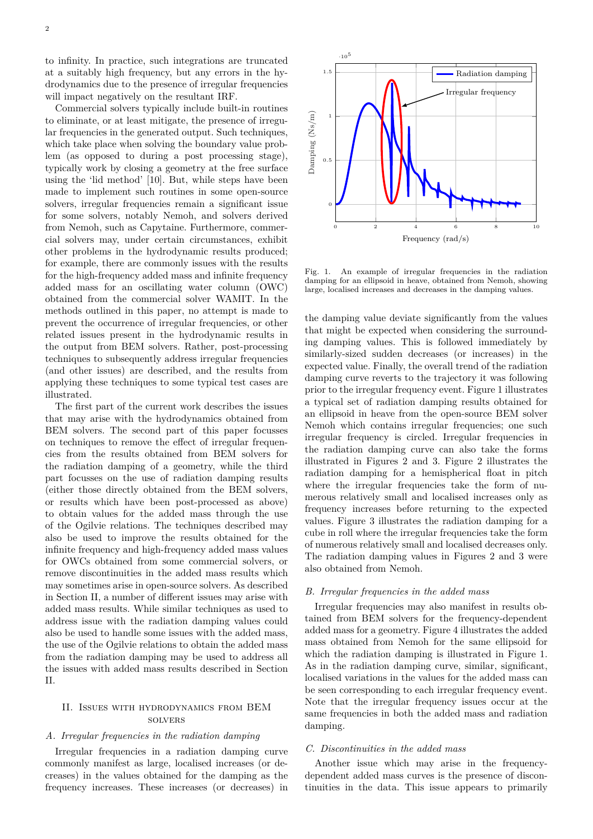to infinity. In practice, such integrations are truncated at a suitably high frequency, but any errors in the hydrodynamics due to the presence of irregular frequencies will impact negatively on the resultant IRF.

Commercial solvers typically include built-in routines to eliminate, or at least mitigate, the presence of irregular frequencies in the generated output. Such techniques, which take place when solving the boundary value problem (as opposed to during a post processing stage), typically work by closing a geometry at the free surface using the 'lid method' [10]. But, while steps have been made to implement such routines in some open-source solvers, irregular frequencies remain a significant issue for some solvers, notably Nemoh, and solvers derived from Nemoh, such as Capytaine. Furthermore, commercial solvers may, under certain circumstances, exhibit other problems in the hydrodynamic results produced; for example, there are commonly issues with the results for the high-frequency added mass and infinite frequency added mass for an oscillating water column (OWC) obtained from the commercial solver WAMIT. In the methods outlined in this paper, no attempt is made to prevent the occurrence of irregular frequencies, or other related issues present in the hydrodynamic results in the output from BEM solvers. Rather, post-processing techniques to subsequently address irregular frequencies (and other issues) are described, and the results from applying these techniques to some typical test cases are illustrated.

The first part of the current work describes the issues that may arise with the hydrodynamics obtained from BEM solvers. The second part of this paper focusses on techniques to remove the effect of irregular frequencies from the results obtained from BEM solvers for the radiation damping of a geometry, while the third part focusses on the use of radiation damping results (either those directly obtained from the BEM solvers, or results which have been post-processed as above) to obtain values for the added mass through the use of the Ogilvie relations. The techniques described may also be used to improve the results obtained for the infinite frequency and high-frequency added mass values for OWCs obtained from some commercial solvers, or remove discontinuities in the added mass results which may sometimes arise in open-source solvers. As described in Section II, a number of different issues may arise with added mass results. While similar techniques as used to address issue with the radiation damping values could also be used to handle some issues with the added mass, the use of the Ogilvie relations to obtain the added mass from the radiation damping may be used to address all the issues with added mass results described in Section II.

# II. Issues with hydrodynamics from BEM **SOLVERS**

# *A. Irregular frequencies in the radiation damping*

Irregular frequencies in a radiation damping curve commonly manifest as large, localised increases (or decreases) in the values obtained for the damping as the frequency increases. These increases (or decreases) in



Fig. 1. An example of irregular frequencies in the radiation damping for an ellipsoid in heave, obtained from Nemoh, showing large, localised increases and decreases in the damping values.

the damping value deviate significantly from the values that might be expected when considering the surrounding damping values. This is followed immediately by similarly-sized sudden decreases (or increases) in the expected value. Finally, the overall trend of the radiation damping curve reverts to the trajectory it was following prior to the irregular frequency event. Figure 1 illustrates a typical set of radiation damping results obtained for an ellipsoid in heave from the open-source BEM solver Nemoh which contains irregular frequencies; one such irregular frequency is circled. Irregular frequencies in the radiation damping curve can also take the forms illustrated in Figures 2 and 3. Figure 2 illustrates the radiation damping for a hemispherical float in pitch where the irregular frequencies take the form of numerous relatively small and localised increases only as frequency increases before returning to the expected values. Figure 3 illustrates the radiation damping for a cube in roll where the irregular frequencies take the form of numerous relatively small and localised decreases only. The radiation damping values in Figures 2 and 3 were also obtained from Nemoh.

#### *B. Irregular frequencies in the added mass*

Irregular frequencies may also manifest in results obtained from BEM solvers for the frequency-dependent added mass for a geometry. Figure 4 illustrates the added mass obtained from Nemoh for the same ellipsoid for which the radiation damping is illustrated in Figure 1. As in the radiation damping curve, similar, significant, localised variations in the values for the added mass can be seen corresponding to each irregular frequency event. Note that the irregular frequency issues occur at the same frequencies in both the added mass and radiation damping.

## *C. Discontinuities in the added mass*

Another issue which may arise in the frequencydependent added mass curves is the presence of discontinuities in the data. This issue appears to primarily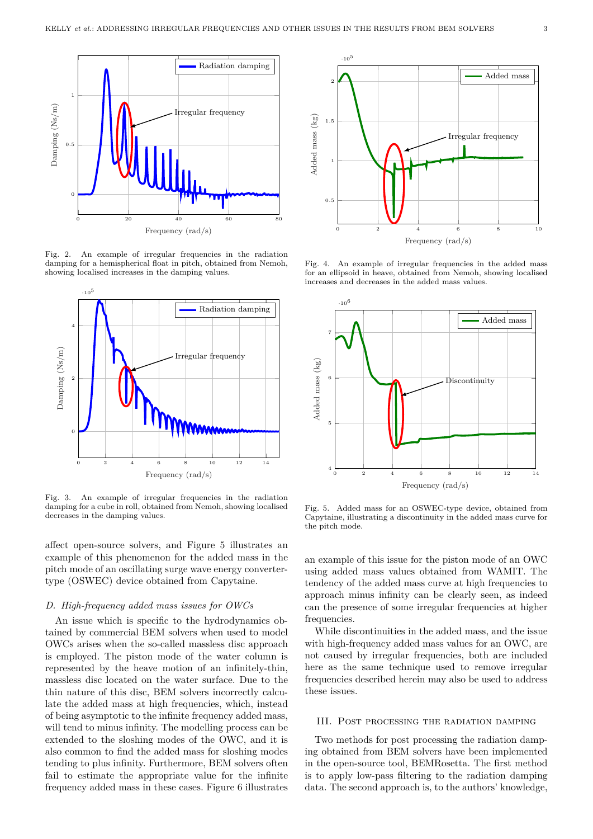

Fig. 2. An example of irregular frequencies in the radiation damping for a hemispherical float in pitch, obtained from Nemoh, showing localised increases in the damping values.



Fig. 3. An example of irregular frequencies in the radiation damping for a cube in roll, obtained from Nemoh, showing localised decreases in the damping values.

affect open-source solvers, and Figure 5 illustrates an example of this phenomenon for the added mass in the pitch mode of an oscillating surge wave energy convertertype (OSWEC) device obtained from Capytaine.

#### *D. High-frequency added mass issues for OWCs*

An issue which is specific to the hydrodynamics obtained by commercial BEM solvers when used to model OWCs arises when the so-called massless disc approach is employed. The piston mode of the water column is represented by the heave motion of an infinitely-thin, massless disc located on the water surface. Due to the thin nature of this disc, BEM solvers incorrectly calculate the added mass at high frequencies, which, instead of being asymptotic to the infinite frequency added mass, will tend to minus infinity. The modelling process can be extended to the sloshing modes of the OWC, and it is also common to find the added mass for sloshing modes tending to plus infinity. Furthermore, BEM solvers often fail to estimate the appropriate value for the infinite frequency added mass in these cases. Figure 6 illustrates



Fig. 4. An example of irregular frequencies in the added mass for an ellipsoid in heave, obtained from Nemoh, showing localised increases and decreases in the added mass values.



Fig. 5. Added mass for an OSWEC-type device, obtained from Capytaine, illustrating a discontinuity in the added mass curve for the pitch mode.

an example of this issue for the piston mode of an OWC using added mass values obtained from WAMIT. The tendency of the added mass curve at high frequencies to approach minus infinity can be clearly seen, as indeed can the presence of some irregular frequencies at higher frequencies.

While discontinuities in the added mass, and the issue with high-frequency added mass values for an OWC, are not caused by irregular frequencies, both are included here as the same technique used to remove irregular frequencies described herein may also be used to address these issues.

#### III. Post processing the radiation damping

Two methods for post processing the radiation damping obtained from BEM solvers have been implemented in the open-source tool, BEMRosetta. The first method is to apply low-pass filtering to the radiation damping data. The second approach is, to the authors' knowledge,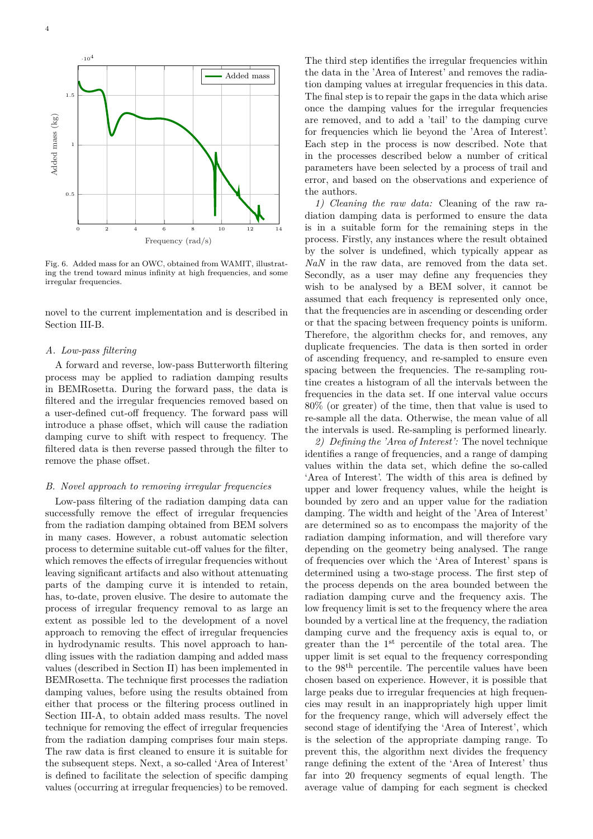

Fig. 6. Added mass for an OWC, obtained from WAMIT, illustrating the trend toward minus infinity at high frequencies, and some irregular frequencies.

novel to the current implementation and is described in Section III-B.

#### *A. Low-pass filtering*

A forward and reverse, low-pass Butterworth filtering process may be applied to radiation damping results in BEMRosetta. During the forward pass, the data is filtered and the irregular frequencies removed based on a user-defined cut-off frequency. The forward pass will introduce a phase offset, which will cause the radiation damping curve to shift with respect to frequency. The filtered data is then reverse passed through the filter to remove the phase offset.

## *B. Novel approach to removing irregular frequencies*

Low-pass filtering of the radiation damping data can successfully remove the effect of irregular frequencies from the radiation damping obtained from BEM solvers in many cases. However, a robust automatic selection process to determine suitable cut-off values for the filter, which removes the effects of irregular frequencies without leaving significant artifacts and also without attenuating parts of the damping curve it is intended to retain, has, to-date, proven elusive. The desire to automate the process of irregular frequency removal to as large an extent as possible led to the development of a novel approach to removing the effect of irregular frequencies in hydrodynamic results. This novel approach to handling issues with the radiation damping and added mass values (described in Section II) has been implemented in BEMRosetta. The technique first processes the radiation damping values, before using the results obtained from either that process or the filtering process outlined in Section III-A, to obtain added mass results. The novel technique for removing the effect of irregular frequencies from the radiation damping comprises four main steps. The raw data is first cleaned to ensure it is suitable for the subsequent steps. Next, a so-called 'Area of Interest' is defined to facilitate the selection of specific damping values (occurring at irregular frequencies) to be removed.

The third step identifies the irregular frequencies within the data in the 'Area of Interest' and removes the radiation damping values at irregular frequencies in this data. The final step is to repair the gaps in the data which arise once the damping values for the irregular frequencies are removed, and to add a 'tail' to the damping curve for frequencies which lie beyond the 'Area of Interest'. Each step in the process is now described. Note that in the processes described below a number of critical parameters have been selected by a process of trail and error, and based on the observations and experience of the authors.

*1) Cleaning the raw data:* Cleaning of the raw radiation damping data is performed to ensure the data is in a suitable form for the remaining steps in the process. Firstly, any instances where the result obtained by the solver is undefined, which typically appear as *NaN* in the raw data, are removed from the data set. Secondly, as a user may define any frequencies they wish to be analysed by a BEM solver, it cannot be assumed that each frequency is represented only once, that the frequencies are in ascending or descending order or that the spacing between frequency points is uniform. Therefore, the algorithm checks for, and removes, any duplicate frequencies. The data is then sorted in order of ascending frequency, and re-sampled to ensure even spacing between the frequencies. The re-sampling routine creates a histogram of all the intervals between the frequencies in the data set. If one interval value occurs 80% (or greater) of the time, then that value is used to re-sample all the data. Otherwise, the mean value of all the intervals is used. Re-sampling is performed linearly.

*2) Defining the 'Area of Interest':* The novel technique identifies a range of frequencies, and a range of damping values within the data set, which define the so-called 'Area of Interest'. The width of this area is defined by upper and lower frequency values, while the height is bounded by zero and an upper value for the radiation damping. The width and height of the 'Area of Interest' are determined so as to encompass the majority of the radiation damping information, and will therefore vary depending on the geometry being analysed. The range of frequencies over which the 'Area of Interest' spans is determined using a two-stage process. The first step of the process depends on the area bounded between the radiation damping curve and the frequency axis. The low frequency limit is set to the frequency where the area bounded by a vertical line at the frequency, the radiation damping curve and the frequency axis is equal to, or greater than the 1st percentile of the total area. The upper limit is set equal to the frequency corresponding to the 98th percentile. The percentile values have been chosen based on experience. However, it is possible that large peaks due to irregular frequencies at high frequencies may result in an inappropriately high upper limit for the frequency range, which will adversely effect the second stage of identifying the 'Area of Interest', which is the selection of the appropriate damping range. To prevent this, the algorithm next divides the frequency range defining the extent of the 'Area of Interest' thus far into 20 frequency segments of equal length. The average value of damping for each segment is checked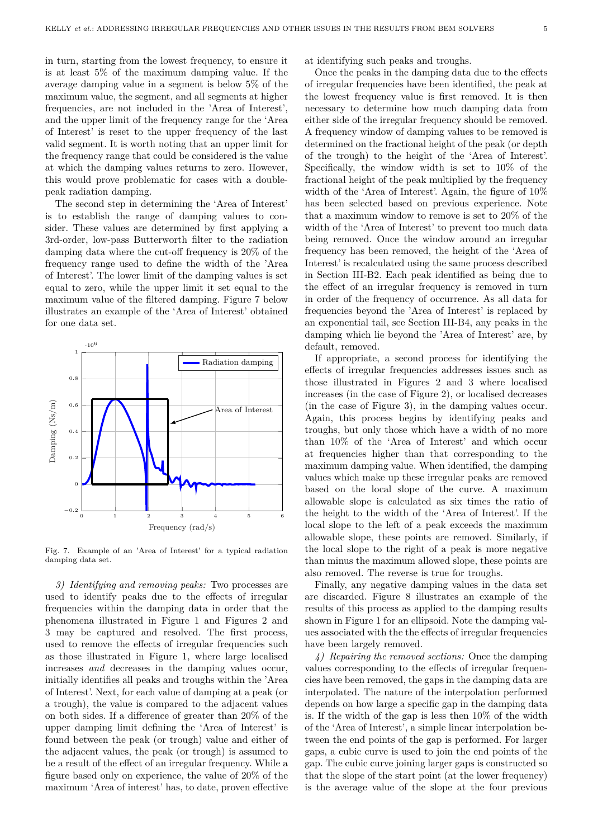in turn, starting from the lowest frequency, to ensure it is at least 5% of the maximum damping value. If the average damping value in a segment is below 5% of the maximum value, the segment, and all segments at higher frequencies, are not included in the 'Area of Interest', and the upper limit of the frequency range for the 'Area of Interest' is reset to the upper frequency of the last valid segment. It is worth noting that an upper limit for the frequency range that could be considered is the value at which the damping values returns to zero. However, this would prove problematic for cases with a doublepeak radiation damping.

The second step in determining the 'Area of Interest' is to establish the range of damping values to consider. These values are determined by first applying a 3rd-order, low-pass Butterworth filter to the radiation damping data where the cut-off frequency is 20% of the frequency range used to define the width of the 'Area of Interest'. The lower limit of the damping values is set equal to zero, while the upper limit it set equal to the maximum value of the filtered damping. Figure 7 below illustrates an example of the 'Area of Interest' obtained for one data set.



Fig. 7. Example of an 'Area of Interest' for a typical radiation damping data set.

*3) Identifying and removing peaks:* Two processes are used to identify peaks due to the effects of irregular frequencies within the damping data in order that the phenomena illustrated in Figure 1 and Figures 2 and 3 may be captured and resolved. The first process, used to remove the effects of irregular frequencies such as those illustrated in Figure 1, where large localised increases *and* decreases in the damping values occur, initially identifies all peaks and troughs within the 'Area of Interest'. Next, for each value of damping at a peak (or a trough), the value is compared to the adjacent values on both sides. If a difference of greater than 20% of the upper damping limit defining the 'Area of Interest' is found between the peak (or trough) value and either of the adjacent values, the peak (or trough) is assumed to be a result of the effect of an irregular frequency. While a figure based only on experience, the value of 20% of the maximum 'Area of interest' has, to date, proven effective at identifying such peaks and troughs.

Once the peaks in the damping data due to the effects of irregular frequencies have been identified, the peak at the lowest frequency value is first removed. It is then necessary to determine how much damping data from either side of the irregular frequency should be removed. A frequency window of damping values to be removed is determined on the fractional height of the peak (or depth of the trough) to the height of the 'Area of Interest'. Specifically, the window width is set to 10% of the fractional height of the peak multiplied by the frequency width of the 'Area of Interest'. Again, the figure of  $10\%$ has been selected based on previous experience. Note that a maximum window to remove is set to 20% of the width of the 'Area of Interest' to prevent too much data being removed. Once the window around an irregular frequency has been removed, the height of the 'Area of Interest' is recalculated using the same process described in Section III-B2. Each peak identified as being due to the effect of an irregular frequency is removed in turn in order of the frequency of occurrence. As all data for frequencies beyond the 'Area of Interest' is replaced by an exponential tail, see Section III-B4, any peaks in the damping which lie beyond the 'Area of Interest' are, by default, removed.

If appropriate, a second process for identifying the effects of irregular frequencies addresses issues such as those illustrated in Figures 2 and 3 where localised increases (in the case of Figure 2), or localised decreases (in the case of Figure 3), in the damping values occur. Again, this process begins by identifying peaks and troughs, but only those which have a width of no more than 10% of the 'Area of Interest' and which occur at frequencies higher than that corresponding to the maximum damping value. When identified, the damping values which make up these irregular peaks are removed based on the local slope of the curve. A maximum allowable slope is calculated as six times the ratio of the height to the width of the 'Area of Interest'. If the local slope to the left of a peak exceeds the maximum allowable slope, these points are removed. Similarly, if the local slope to the right of a peak is more negative than minus the maximum allowed slope, these points are also removed. The reverse is true for troughs.

Finally, any negative damping values in the data set are discarded. Figure 8 illustrates an example of the results of this process as applied to the damping results shown in Figure 1 for an ellipsoid. Note the damping values associated with the the effects of irregular frequencies have been largely removed.

*4) Repairing the removed sections:* Once the damping values corresponding to the effects of irregular frequencies have been removed, the gaps in the damping data are interpolated. The nature of the interpolation performed depends on how large a specific gap in the damping data is. If the width of the gap is less then 10% of the width of the 'Area of Interest', a simple linear interpolation between the end points of the gap is performed. For larger gaps, a cubic curve is used to join the end points of the gap. The cubic curve joining larger gaps is constructed so that the slope of the start point (at the lower frequency) is the average value of the slope at the four previous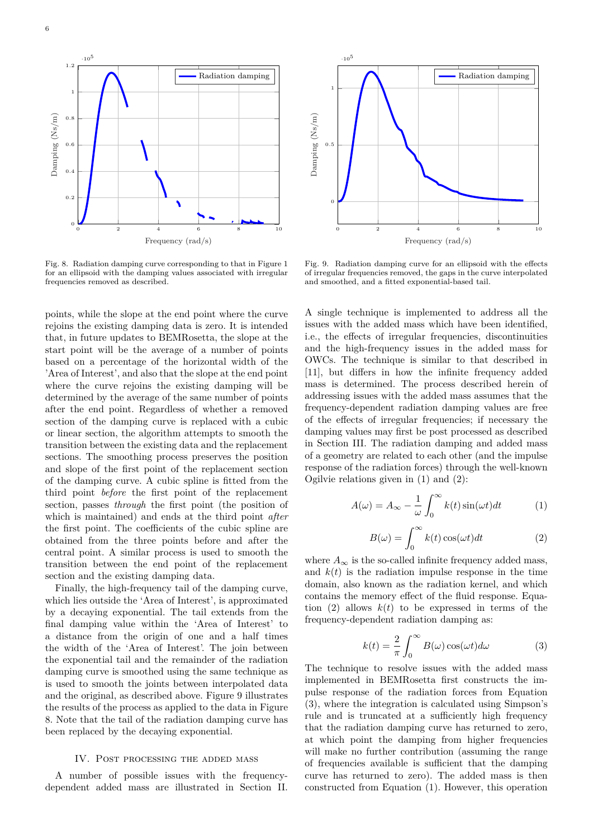

Fig. 8. Radiation damping curve corresponding to that in Figure 1 for an ellipsoid with the damping values associated with irregular frequencies removed as described.

points, while the slope at the end point where the curve rejoins the existing damping data is zero. It is intended that, in future updates to BEMRosetta, the slope at the start point will be the average of a number of points based on a percentage of the horizontal width of the 'Area of Interest', and also that the slope at the end point where the curve rejoins the existing damping will be determined by the average of the same number of points after the end point. Regardless of whether a removed section of the damping curve is replaced with a cubic or linear section, the algorithm attempts to smooth the transition between the existing data and the replacement sections. The smoothing process preserves the position and slope of the first point of the replacement section of the damping curve. A cubic spline is fitted from the third point *before* the first point of the replacement section, passes *through* the first point (the position of which is maintained) and ends at the third point *after* the first point. The coefficients of the cubic spline are obtained from the three points before and after the central point. A similar process is used to smooth the transition between the end point of the replacement section and the existing damping data.

Finally, the high-frequency tail of the damping curve, which lies outside the 'Area of Interest', is approximated by a decaying exponential. The tail extends from the final damping value within the 'Area of Interest' to a distance from the origin of one and a half times the width of the 'Area of Interest'. The join between the exponential tail and the remainder of the radiation damping curve is smoothed using the same technique as is used to smooth the joints between interpolated data and the original, as described above. Figure 9 illustrates the results of the process as applied to the data in Figure 8. Note that the tail of the radiation damping curve has been replaced by the decaying exponential.

## IV. Post processing the added mass

A number of possible issues with the frequencydependent added mass are illustrated in Section II.



Fig. 9. Radiation damping curve for an ellipsoid with the effects of irregular frequencies removed, the gaps in the curve interpolated and smoothed, and a fitted exponential-based tail.

A single technique is implemented to address all the issues with the added mass which have been identified, i.e., the effects of irregular frequencies, discontinuities and the high-frequency issues in the added mass for OWCs. The technique is similar to that described in [11], but differs in how the infinite frequency added mass is determined. The process described herein of addressing issues with the added mass assumes that the frequency-dependent radiation damping values are free of the effects of irregular frequencies; if necessary the damping values may first be post processed as described in Section III. The radiation damping and added mass of a geometry are related to each other (and the impulse response of the radiation forces) through the well-known Ogilvie relations given in (1) and (2):

$$
A(\omega) = A_{\infty} - \frac{1}{\omega} \int_0^{\infty} k(t) \sin(\omega t) dt
$$
 (1)

$$
B(\omega) = \int_0^\infty k(t) \cos(\omega t) dt
$$
 (2)

where  $A_{\infty}$  is the so-called infinite frequency added mass, and  $k(t)$  is the radiation impulse response in the time domain, also known as the radiation kernel, and which contains the memory effect of the fluid response. Equation (2) allows  $k(t)$  to be expressed in terms of the frequency-dependent radiation damping as:

$$
k(t) = \frac{2}{\pi} \int_0^\infty B(\omega) \cos(\omega t) d\omega \tag{3}
$$

The technique to resolve issues with the added mass implemented in BEMRosetta first constructs the impulse response of the radiation forces from Equation (3), where the integration is calculated using Simpson's rule and is truncated at a sufficiently high frequency that the radiation damping curve has returned to zero, at which point the damping from higher frequencies will make no further contribution (assuming the range of frequencies available is sufficient that the damping curve has returned to zero). The added mass is then constructed from Equation (1). However, this operation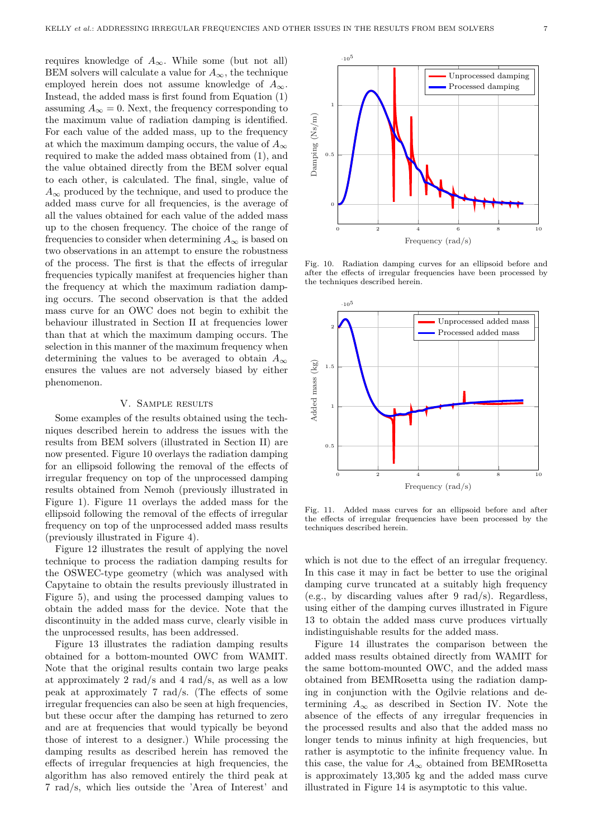requires knowledge of  $A_{\infty}$ . While some (but not all) BEM solvers will calculate a value for  $A_{\infty}$ , the technique employed herein does not assume knowledge of  $A_{\infty}$ . Instead, the added mass is first found from Equation (1) assuming  $A_{\infty} = 0$ . Next, the frequency corresponding to the maximum value of radiation damping is identified. For each value of the added mass, up to the frequency at which the maximum damping occurs, the value of  $A_{\infty}$ required to make the added mass obtained from (1), and the value obtained directly from the BEM solver equal to each other, is calculated. The final, single, value of  $A_{\infty}$  produced by the technique, and used to produce the added mass curve for all frequencies, is the average of all the values obtained for each value of the added mass up to the chosen frequency. The choice of the range of frequencies to consider when determining  $A_{\infty}$  is based on two observations in an attempt to ensure the robustness of the process. The first is that the effects of irregular frequencies typically manifest at frequencies higher than the frequency at which the maximum radiation damping occurs. The second observation is that the added mass curve for an OWC does not begin to exhibit the behaviour illustrated in Section II at frequencies lower than that at which the maximum damping occurs. The selection in this manner of the maximum frequency when determining the values to be averaged to obtain  $A_{\infty}$ ensures the values are not adversely biased by either phenomenon.

## V. Sample results

Some examples of the results obtained using the techniques described herein to address the issues with the results from BEM solvers (illustrated in Section II) are now presented. Figure 10 overlays the radiation damping for an ellipsoid following the removal of the effects of irregular frequency on top of the unprocessed damping results obtained from Nemoh (previously illustrated in Figure 1). Figure 11 overlays the added mass for the ellipsoid following the removal of the effects of irregular frequency on top of the unprocessed added mass results (previously illustrated in Figure 4).

Figure 12 illustrates the result of applying the novel technique to process the radiation damping results for the OSWEC-type geometry (which was analysed with Capytaine to obtain the results previously illustrated in Figure 5), and using the processed damping values to obtain the added mass for the device. Note that the discontinuity in the added mass curve, clearly visible in the unprocessed results, has been addressed.

Figure 13 illustrates the radiation damping results obtained for a bottom-mounted OWC from WAMIT. Note that the original results contain two large peaks at approximately 2 rad/s and 4 rad/s, as well as a low peak at approximately 7 rad/s. (The effects of some irregular frequencies can also be seen at high frequencies, but these occur after the damping has returned to zero and are at frequencies that would typically be beyond those of interest to a designer.) While processing the damping results as described herein has removed the effects of irregular frequencies at high frequencies, the algorithm has also removed entirely the third peak at 7 rad/s, which lies outside the 'Area of Interest' and



Fig. 10. Radiation damping curves for an ellipsoid before and after the effects of irregular frequencies have been processed by the techniques described herein.



Fig. 11. Added mass curves for an ellipsoid before and after the effects of irregular frequencies have been processed by the techniques described herein.

which is not due to the effect of an irregular frequency. In this case it may in fact be better to use the original damping curve truncated at a suitably high frequency (e.g., by discarding values after 9 rad/s). Regardless, using either of the damping curves illustrated in Figure 13 to obtain the added mass curve produces virtually indistinguishable results for the added mass.

Figure 14 illustrates the comparison between the added mass results obtained directly from WAMIT for the same bottom-mounted OWC, and the added mass obtained from BEMRosetta using the radiation damping in conjunction with the Ogilvie relations and determining  $A_{\infty}$  as described in Section IV. Note the absence of the effects of any irregular frequencies in the processed results and also that the added mass no longer tends to minus infinity at high frequencies, but rather is asymptotic to the infinite frequency value. In this case, the value for  $A_{\infty}$  obtained from BEMRosetta is approximately 13,305 kg and the added mass curve illustrated in Figure 14 is asymptotic to this value.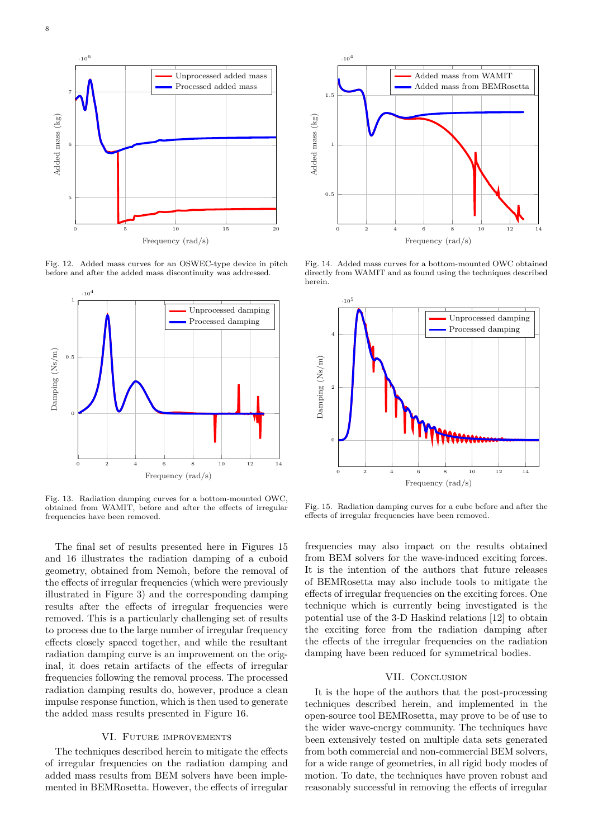

Fig. 12. Added mass curves for an OSWEC-type device in pitch before and after the added mass discontinuity was addressed.



Fig. 13. Radiation damping curves for a bottom-mounted OWC, obtained from WAMIT, before and after the effects of irregular frequencies have been removed.

The final set of results presented here in Figures 15 and 16 illustrates the radiation damping of a cuboid geometry, obtained from Nemoh, before the removal of the effects of irregular frequencies (which were previously illustrated in Figure 3) and the corresponding damping results after the effects of irregular frequencies were removed. This is a particularly challenging set of results to process due to the large number of irregular frequency effects closely spaced together, and while the resultant radiation damping curve is an improvement on the original, it does retain artifacts of the effects of irregular frequencies following the removal process. The processed radiation damping results do, however, produce a clean impulse response function, which is then used to generate the added mass results presented in Figure 16.

## VI. Future improvements

The techniques described herein to mitigate the effects of irregular frequencies on the radiation damping and added mass results from BEM solvers have been implemented in BEMRosetta. However, the effects of irregular



Fig. 14. Added mass curves for a bottom-mounted OWC obtained directly from WAMIT and as found using the techniques described herein.



Fig. 15. Radiation damping curves for a cube before and after the effects of irregular frequencies have been removed.

frequencies may also impact on the results obtained from BEM solvers for the wave-induced exciting forces. It is the intention of the authors that future releases of BEMRosetta may also include tools to mitigate the effects of irregular frequencies on the exciting forces. One technique which is currently being investigated is the potential use of the 3-D Haskind relations [12] to obtain the exciting force from the radiation damping after the effects of the irregular frequencies on the radiation damping have been reduced for symmetrical bodies.

## VII. CONCLUSION

It is the hope of the authors that the post-processing techniques described herein, and implemented in the open-source tool BEMRosetta, may prove to be of use to the wider wave-energy community. The techniques have been extensively tested on multiple data sets generated from both commercial and non-commercial BEM solvers, for a wide range of geometries, in all rigid body modes of motion. To date, the techniques have proven robust and reasonably successful in removing the effects of irregular